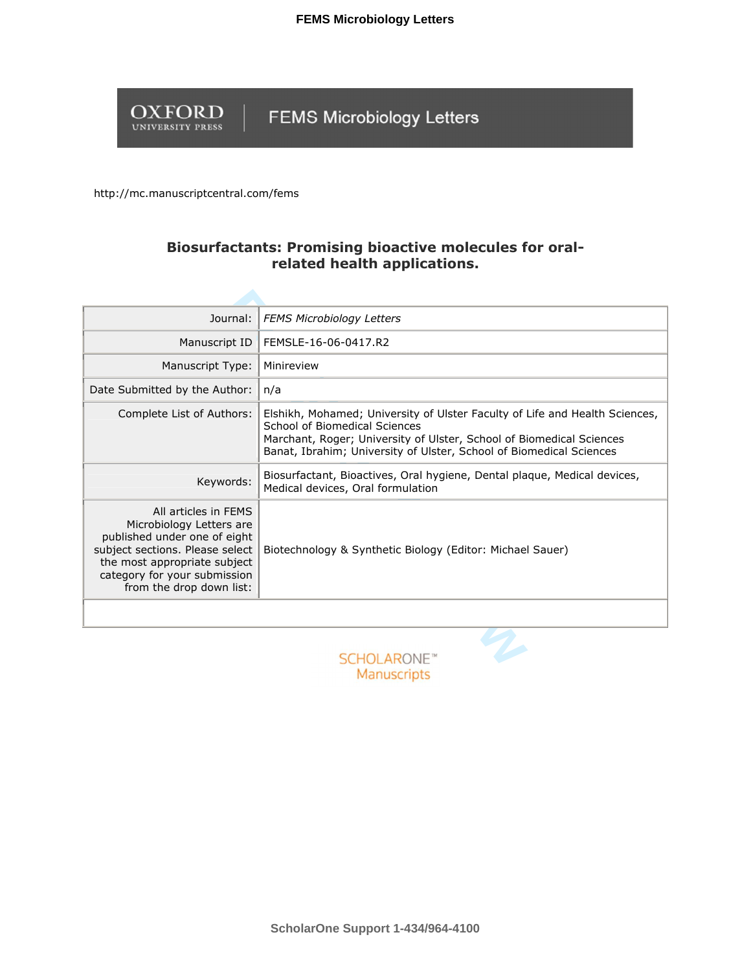

**FEMS Microbiology Letters** 

http://mc.manuscriptcentral.com/fems

## **Biosurfactants: Promising bioactive molecules for oral related health applications.**

| Journal:                                                                                                                                                                                                        | <b>FEMS Microbiology Letters</b>                                                                                                                                                                                                                            |
|-----------------------------------------------------------------------------------------------------------------------------------------------------------------------------------------------------------------|-------------------------------------------------------------------------------------------------------------------------------------------------------------------------------------------------------------------------------------------------------------|
| Manuscript ID                                                                                                                                                                                                   | FEMSLE-16-06-0417.R2                                                                                                                                                                                                                                        |
| Manuscript Type:                                                                                                                                                                                                | Minireview                                                                                                                                                                                                                                                  |
| Date Submitted by the Author:                                                                                                                                                                                   | n/a                                                                                                                                                                                                                                                         |
| Complete List of Authors:                                                                                                                                                                                       | Elshikh, Mohamed; University of Ulster Faculty of Life and Health Sciences,<br>School of Biomedical Sciences<br>Marchant, Roger; University of Ulster, School of Biomedical Sciences<br>Banat, Ibrahim; University of Ulster, School of Biomedical Sciences |
| Keywords:                                                                                                                                                                                                       | Biosurfactant, Bioactives, Oral hygiene, Dental plaque, Medical devices,<br>Medical devices, Oral formulation                                                                                                                                               |
| All articles in FFMS<br>Microbiology Letters are<br>published under one of eight<br>subject sections. Please select<br>the most appropriate subject<br>category for your submission<br>from the drop down list: | Biotechnology & Synthetic Biology (Editor: Michael Sauer)                                                                                                                                                                                                   |
|                                                                                                                                                                                                                 |                                                                                                                                                                                                                                                             |
|                                                                                                                                                                                                                 | <b>SCHOLARONE</b>                                                                                                                                                                                                                                           |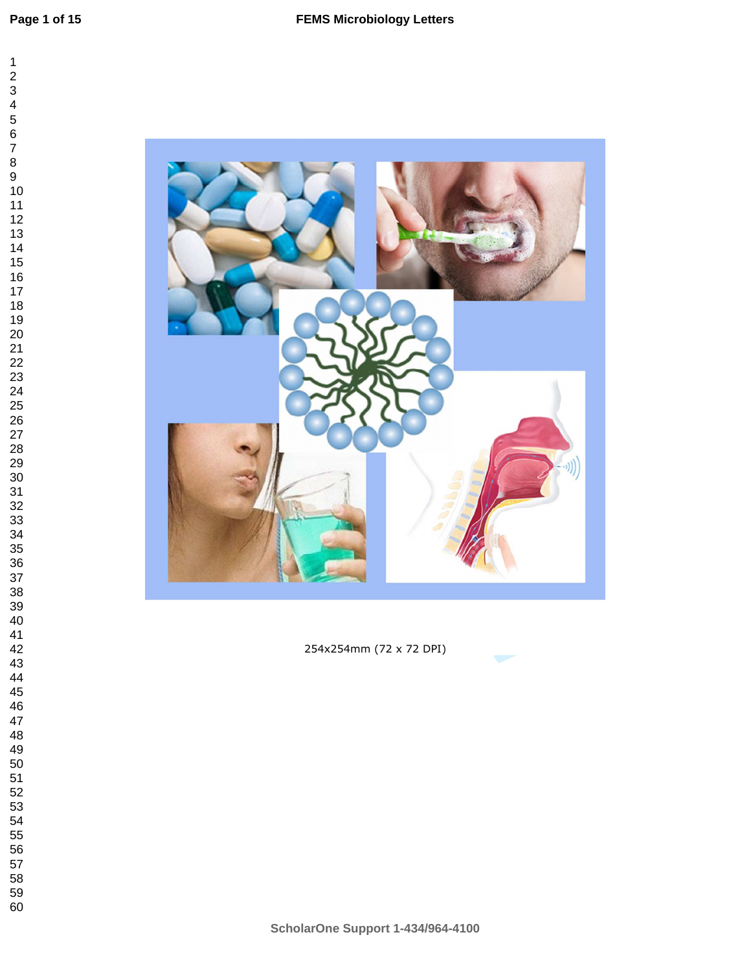$\mathbf{1}$  $\frac{2}{3}$  $\overline{\mathbf{4}}$  $\overline{5}$  $\,6$  $\overline{\mathbf{7}}$  $\bf 8$  $\boldsymbol{9}$ 



254x254mm (72 x 72 DPI)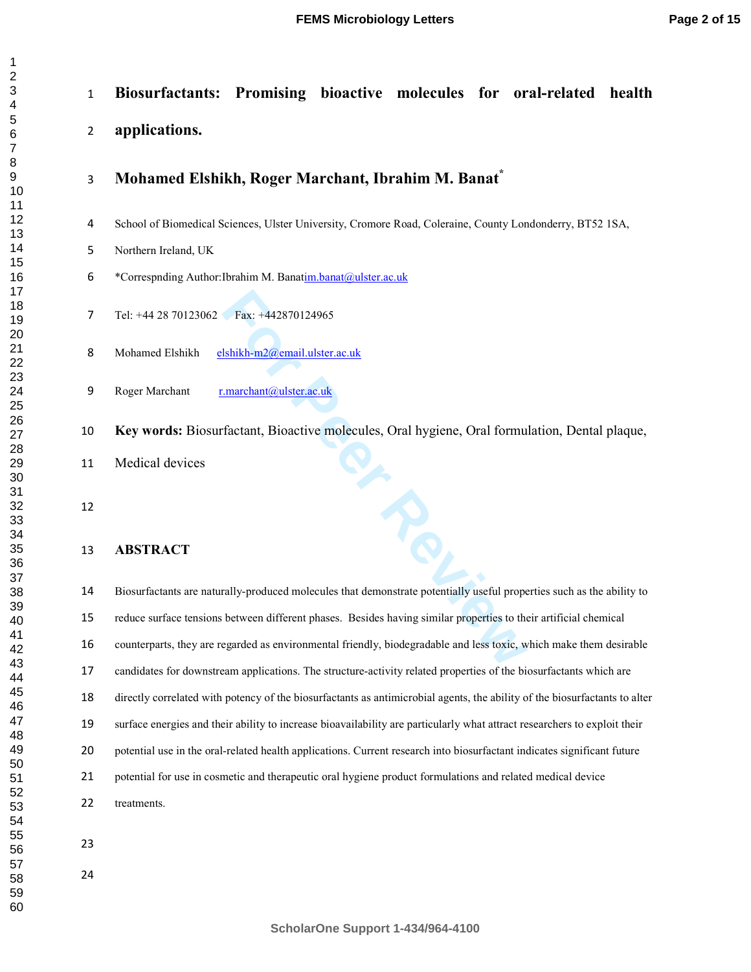# **Biosurfactants: Promising bioactive molecules for oral-related health**

**applications.** 

# **Mohamed Elshikh, Roger Marchant, Ibrahim M. Banat\***

- School of Biomedical Sciences, Ulster University, Cromore Road, Coleraine, County Londonderry, BT52 1SA,
- Northern Ireland, UK
- 6 \* Correspnding Author: Ibrahim M. Banatim.banat@ulster.ac.uk
- Tel: +44 28 70123062 Fax: +442870124965
- 8 Mohamed Elshikh elshikh-m2@email.ulster.ac.uk
- 9 Roger Marchant r.marchant@ulster.ac.uk
- **Key words:** Biosurfactant, Bioactive molecules, Oral hygiene, Oral formulation, Dental plaque,
- Medical devices
- 

### **ABSTRACT**

Biosurfactants are naturally-produced molecules that demonstrate potentially useful properties such as the ability to reduce surface tensions between different phases. Besides having similar properties to their artificial chemical counterparts, they are regarded as environmental friendly, biodegradable and less toxic, which make them desirable candidates for downstream applications. The structure-activity related properties of the biosurfactants which are directly correlated with potency of the biosurfactants as antimicrobial agents, the ability of the biosurfactants to alter surface energies and their ability to increase bioavailability are particularly what attract researchers to exploit their potential use in the oral-related health applications. Current research into biosurfactant indicates significant future potential for use in cosmetic and therapeutic oral hygiene product formulations and related medical device treatments.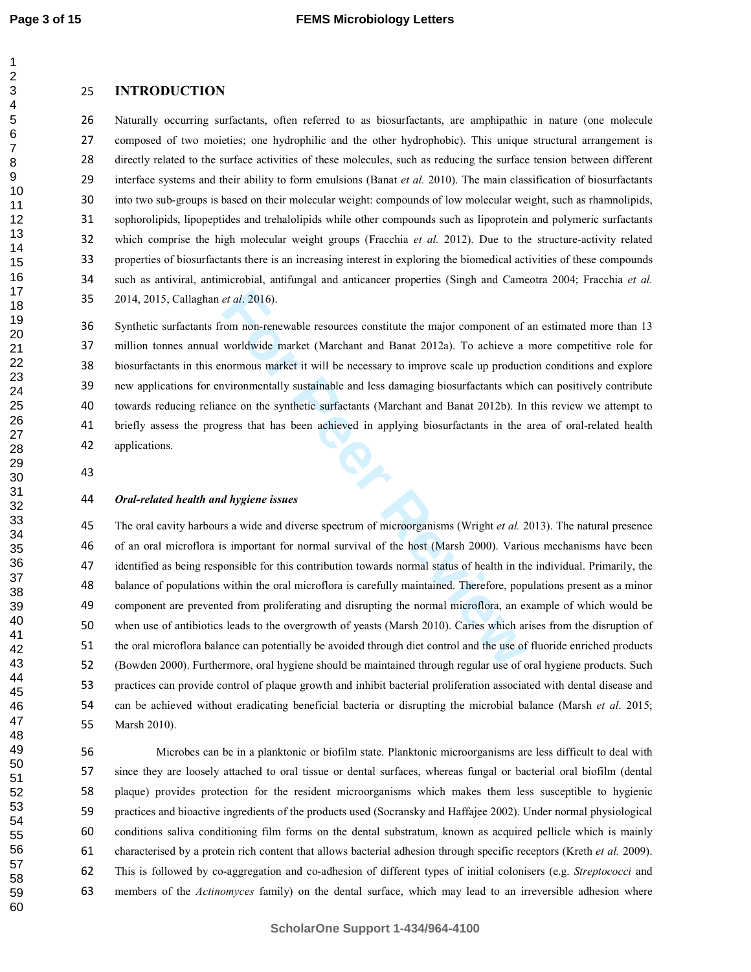Naturally occurring surfactants, often referred to as biosurfactants, are amphipathic in nature (one molecule composed of two moieties; one hydrophilic and the other hydrophobic). This unique structural arrangement is directly related to the surface activities of these molecules, such as reducing the surface tension between different interface systems and their ability to form emulsions (Banat *et al.* 2010). The main classification of biosurfactants into two sub-groups is based on their molecular weight: compounds of low molecular weight, such as rhamnolipids, sophorolipids, lipopeptides and trehalolipids while other compounds such as lipoprotein and polymeric surfactants which comprise the high molecular weight groups (Fracchia *et al.* 2012). Due to the structure-activity related properties of biosurfactants there is an increasing interest in exploring the biomedical activities of these compounds such as antiviral, antimicrobial, antifungal and anticancer properties (Singh and Cameotra 2004; Fracchia *et al.* 2014, 2015, Callaghan *et al*. 2016).

Synthetic surfactants from non-renewable resources constitute the major component of an estimated more than 13 million tonnes annual worldwide market (Marchant and Banat 2012a). To achieve a more competitive role for biosurfactants in this enormous market it will be necessary to improve scale up production conditions and explore new applications for environmentally sustainable and less damaging biosurfactants which can positively contribute towards reducing reliance on the synthetic surfactants (Marchant and Banat 2012b). In this review we attempt to briefly assess the progress that has been achieved in applying biosurfactants in the area of oral-related health applications.

#### *Oral-related health and hygiene issues*

*Et al.* 2016).<br> **For Peer Peer Review and Standard Banati** 2012a). To achieve a worldwide market (Marchant and Banat 2012a). To achieve a normous market it will be necessary to improve scale up product wironmentally susta The oral cavity harbours a wide and diverse spectrum of microorganisms (Wright *et al.* 2013). The natural presence of an oral microflora is important for normal survival of the host (Marsh 2000). Various mechanisms have been identified as being responsible for this contribution towards normal status of health in the individual. Primarily, the balance of populations within the oral microflora is carefully maintained. Therefore, populations present as a minor component are prevented from proliferating and disrupting the normal microflora, an example of which would be when use of antibiotics leads to the overgrowth of yeasts (Marsh 2010). Caries which arises from the disruption of the oral microflora balance can potentially be avoided through diet control and the use of fluoride enriched products (Bowden 2000). Furthermore, oral hygiene should be maintained through regular use of oral hygiene products. Such practices can provide control of plaque growth and inhibit bacterial proliferation associated with dental disease and can be achieved without eradicating beneficial bacteria or disrupting the microbial balance (Marsh *et al*. 2015; Marsh 2010).

Microbes can be in a planktonic or biofilm state. Planktonic microorganisms are less difficult to deal with since they are loosely attached to oral tissue or dental surfaces, whereas fungal or bacterial oral biofilm (dental plaque) provides protection for the resident microorganisms which makes them less susceptible to hygienic practices and bioactive ingredients of the products used (Socransky and Haffajee 2002). Under normal physiological conditions saliva conditioning film forms on the dental substratum, known as acquired pellicle which is mainly characterised by a protein rich content that allows bacterial adhesion through specific receptors (Kreth *et al.* 2009). This is followed by co-aggregation and co-adhesion of different types of initial colonisers (e.g. *Streptococci* and members of the *Actinomyces* family) on the dental surface, which may lead to an irreversible adhesion where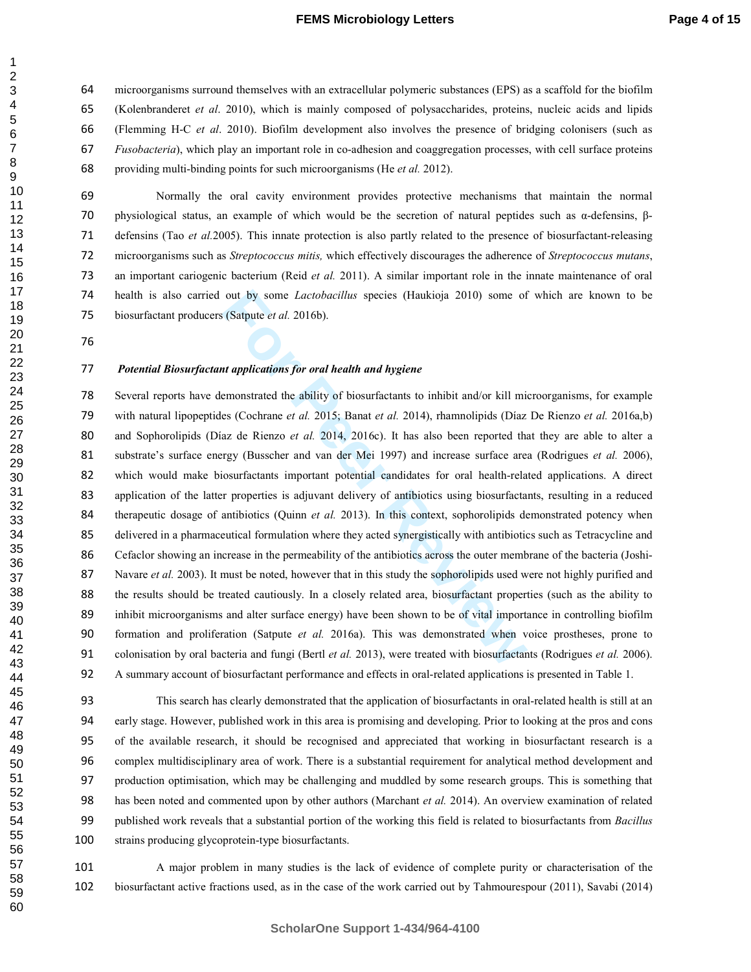microorganisms surround themselves with an extracellular polymeric substances (EPS) as a scaffold for the biofilm (Kolenbranderet *et al*. 2010), which is mainly composed of polysaccharides, proteins, nucleic acids and lipids (Flemming H-C *et al*. 2010). Biofilm development also involves the presence of bridging colonisers (such as *Fusobacteria*), which play an important role in co-adhesion and coaggregation processes, with cell surface proteins providing multi-binding points for such microorganisms (He *et al.* 2012).

Normally the oral cavity environment provides protective mechanisms that maintain the normal physiological status, an example of which would be the secretion of natural peptides such as α-defensins, β-defensins (Tao *et al.*2005). This innate protection is also partly related to the presence of biosurfactant-releasing microorganisms such as *Streptococcus mitis,* which effectively discourages the adherence of *Streptococcus mutans*, an important cariogenic bacterium (Reid *et al.* 2011). A similar important role in the innate maintenance of oral health is also carried out by some *Lactobacillus* species (Haukioja 2010) some of which are known to be biosurfactant producers (Satpute *et al.* 2016b).

#### *Potential Biosurfactant applications for oral health and hygiene*

out by some *Lactobacillus* species (Haukioja 2010) some of<br>
(Satpute *et al.* 2016b).<br> *It applications for oral health and hygiene*<br>
emonstrated the ability of biosurfactants to inhibit and/or kill mide<br>
se (Cochrane Several reports have demonstrated the ability of biosurfactants to inhibit and/or kill microorganisms, for example with natural lipopeptides (Cochrane *et al.* 2015; Banat *et al.* 2014), rhamnolipids (Díaz De Rienzo *et al.* 2016a,b) and Sophorolipids (Díaz de Rienzo *et al.* 2014, 2016c). It has also been reported that they are able to alter a substrate's surface energy (Busscher and van der Mei 1997) and increase surface area (Rodrigues *et al.* 2006), which would make biosurfactants important potential candidates for oral health-related applications. A direct application of the latter properties is adjuvant delivery of antibiotics using biosurfactants, resulting in a reduced 84 therapeutic dosage of antibiotics (Quinn *et al.* 2013). In this context, sophorolipids demonstrated potency when delivered in a pharmaceutical formulation where they acted synergistically with antibiotics such as Tetracycline and Cefaclor showing an increase in the permeability of the antibiotics across the outer membrane of the bacteria (Joshi-Navare *et al.* 2003). It must be noted, however that in this study the sophorolipids used were not highly purified and the results should be treated cautiously. In a closely related area, biosurfactant properties (such as the ability to inhibit microorganisms and alter surface energy) have been shown to be of vital importance in controlling biofilm formation and proliferation (Satpute *et al.* 2016a). This was demonstrated when voice prostheses, prone to colonisation by oral bacteria and fungi (Bertl *et al.* 2013), were treated with biosurfactants (Rodrigues *et al.* 2006). A summary account of biosurfactant performance and effects in oral-related applications is presented in Table 1.

This search has clearly demonstrated that the application of biosurfactants in oral-related health is still at an early stage. However, published work in this area is promising and developing. Prior to looking at the pros and cons of the available research, it should be recognised and appreciated that working in biosurfactant research is a complex multidisciplinary area of work. There is a substantial requirement for analytical method development and production optimisation, which may be challenging and muddled by some research groups. This is something that has been noted and commented upon by other authors (Marchant *et al.* 2014). An overview examination of related published work reveals that a substantial portion of the working this field is related to biosurfactants from *Bacillus* strains producing glycoprotein-type biosurfactants.

A major problem in many studies is the lack of evidence of complete purity or characterisation of the biosurfactant active fractions used, as in the case of the work carried out by Tahmourespour (2011), Savabi (2014)

 $\mathbf{1}$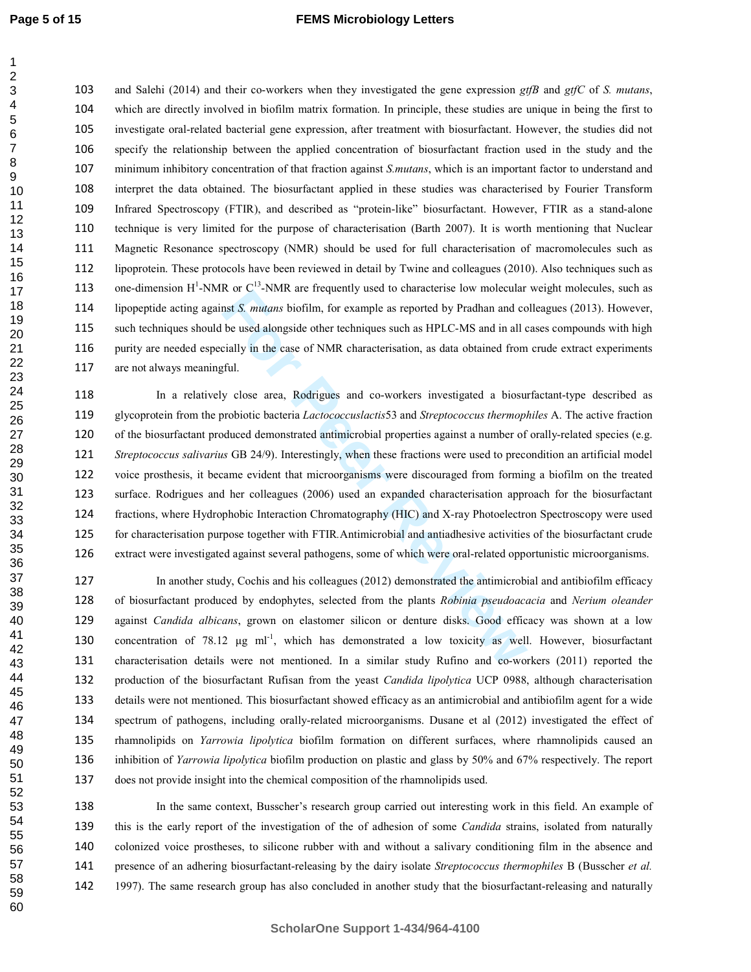$\mathbf{1}$ 

#### **FEMS Microbiology Letters**

and Salehi (2014) and their co-workers when they investigated the gene expression *gtfB* and *gtfC* of *S. mutans*, which are directly involved in biofilm matrix formation. In principle, these studies are unique in being the first to investigate oral-related bacterial gene expression, after treatment with biosurfactant. However, the studies did not specify the relationship between the applied concentration of biosurfactant fraction used in the study and the minimum inhibitory concentration of that fraction against *S.mutans*, which is an important factor to understand and interpret the data obtained. The biosurfactant applied in these studies was characterised by Fourier Transform Infrared Spectroscopy (FTIR), and described as "protein-like" biosurfactant. However, FTIR as a stand-alone technique is very limited for the purpose of characterisation (Barth 2007). It is worth mentioning that Nuclear Magnetic Resonance spectroscopy (NMR) should be used for full characterisation of macromolecules such as lipoprotein. These protocols have been reviewed in detail by Twine and colleagues (2010). Also techniques such as 113 one-dimension  $H^1$ -NMR or  $C^{13}$ -NMR are frequently used to characterise low molecular weight molecules, such as lipopeptide acting against *S. mutans* biofilm, for example as reported by Pradhan and colleagues (2013). However, such techniques should be used alongside other techniques such as HPLC-MS and in all cases compounds with high purity are needed especially in the case of NMR characterisation, as data obtained from crude extract experiments are not always meaningful.

**EXECTS ANTIFY ANTIFY ANTIFY ANTIFY ANTIFY AND SET AND ADONE THE SURVERT AND SURVERT AND SIDE AND SIDE AND SIDE AND SIDE AND SIDE AND SIDE AND SIDE AND SIDE AND SIDE AND SIDE AND SIDE AND SIDE AND SIDE AND SIDE AND SIDE AN** In a relatively close area, Rodrigues and co-workers investigated a biosurfactant-type described as glycoprotein from the probiotic bacteria *Lactococcuslactis*53 and *Streptococcus thermophiles* A. The active fraction of the biosurfactant produced demonstrated antimicrobial properties against a number of orally-related species (e.g. *Streptococcus salivarius* GB 24/9). Interestingly, when these fractions were used to precondition an artificial model voice prosthesis, it became evident that microorganisms were discouraged from forming a biofilm on the treated surface. Rodrigues and her colleagues (2006) used an expanded characterisation approach for the biosurfactant fractions, where Hydrophobic Interaction Chromatography (HIC) and X-ray Photoelectron Spectroscopy were used for characterisation purpose together with FTIR*.*Antimicrobial and antiadhesive activities of the biosurfactant crude extract were investigated against several pathogens, some of which were oral-related opportunistic microorganisms.

In another study, Cochis and his colleagues (2012) demonstrated the antimicrobial and antibiofilm efficacy of biosurfactant produced by endophytes, selected from the plants *Robinia pseudoacacia* and *Nerium oleander*  against *Candida albicans*, grown on elastomer silicon or denture disks. Good efficacy was shown at a low 130 concentration of 78.12  $\mu$ g ml<sup>-1</sup>, which has demonstrated a low toxicity as well. However, biosurfactant characterisation details were not mentioned. In a similar study Rufino and co-workers (2011) reported the production of the biosurfactant Rufisan from the yeast *Candida lipolytica* UCP 0988, although characterisation details were not mentioned. This biosurfactant showed efficacy as an antimicrobial and antibiofilm agent for a wide spectrum of pathogens, including orally-related microorganisms. Dusane et al (2012) investigated the effect of rhamnolipids on *Yarrowia lipolytica* biofilm formation on different surfaces, where rhamnolipids caused an inhibition of *Yarrowia lipolytica* biofilm production on plastic and glass by 50% and 67% respectively. The report does not provide insight into the chemical composition of the rhamnolipids used.

In the same context, Busscher's research group carried out interesting work in this field. An example of this is the early report of the investigation of the of adhesion of some *Candida* strains, isolated from naturally colonized voice prostheses, to silicone rubber with and without a salivary conditioning film in the absence and presence of an adhering biosurfactant-releasing by the dairy isolate *Streptococcus thermophiles* B (Busscher *et al.* 1997). The same research group has also concluded in another study that the biosurfactant-releasing and naturally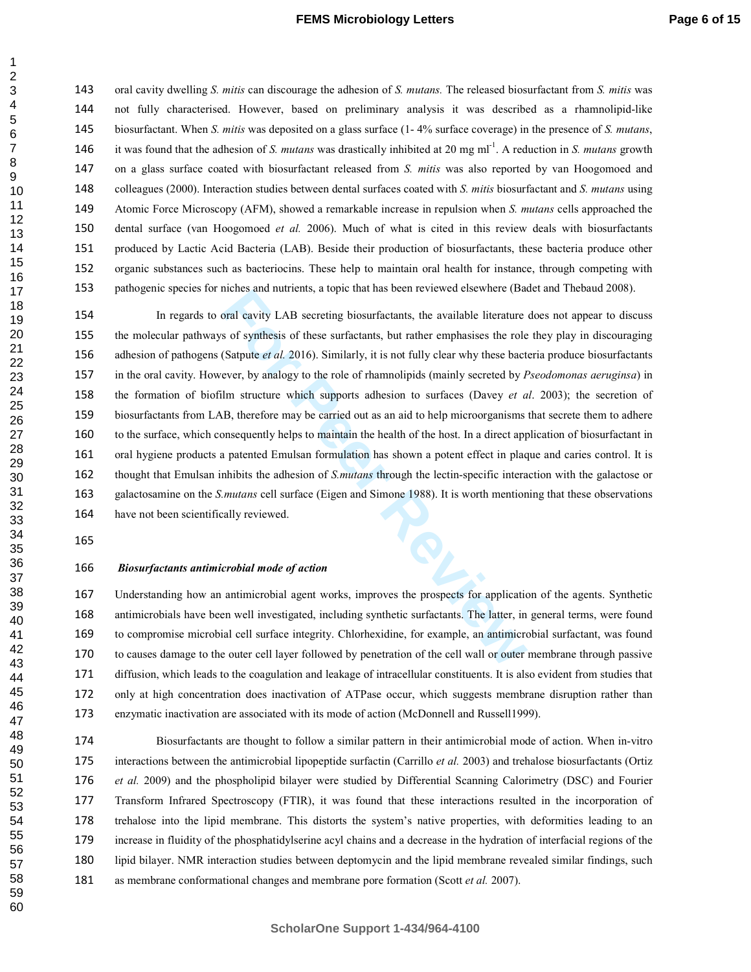#### **FEMS Microbiology Letters**

oral cavity dwelling *S. mitis* can discourage the adhesion of *S. mutans.* The released biosurfactant from *S. mitis* was not fully characterised. However, based on preliminary analysis it was described as a rhamnolipid-like biosurfactant. When *S. mitis* was deposited on a glass surface (1- 4% surface coverage) in the presence of *S. mutans*, 146 it was found that the adhesion of *S. mutans* was drastically inhibited at 20 mg ml<sup>-1</sup>. A reduction in *S. mutans* growth on a glass surface coated with biosurfactant released from *S. mitis* was also reported by van Hoogomoed and colleagues (2000). Interaction studies between dental surfaces coated with *S. mitis* biosurfactant and *S. mutans* using Atomic Force Microscopy (AFM), showed a remarkable increase in repulsion when *S. mutans* cells approached the dental surface (van Hoogomoed *et al.* 2006). Much of what is cited in this review deals with biosurfactants produced by Lactic Acid Bacteria (LAB). Beside their production of biosurfactants, these bacteria produce other organic substances such as bacteriocins. These help to maintain oral health for instance, through competing with pathogenic species for niches and nutrients, a topic that has been reviewed elsewhere (Badet and Thebaud 2008).

ficties and nutrients, a topic that has been reviewed essewhere (Bad<br>oral cavity LAB secreting biosurfactants, the available literature<br>s of synthesis of these surfactants, but rather emphasises the role<br>(Satpute *et al.* In regards to oral cavity LAB secreting biosurfactants, the available literature does not appear to discuss the molecular pathways of synthesis of these surfactants, but rather emphasises the role they play in discouraging adhesion of pathogens (Satpute *et al.* 2016). Similarly, it is not fully clear why these bacteria produce biosurfactants in the oral cavity. However, by analogy to the role of rhamnolipids (mainly secreted by *Pseodomonas aeruginsa*) in the formation of biofilm structure which supports adhesion to surfaces (Davey *et al*. 2003); the secretion of biosurfactants from LAB, therefore may be carried out as an aid to help microorganisms that secrete them to adhere to the surface, which consequently helps to maintain the health of the host. In a direct application of biosurfactant in oral hygiene products a patented Emulsan formulation has shown a potent effect in plaque and caries control. It is thought that Emulsan inhibits the adhesion of *S.mutans* through the lectin-specific interaction with the galactose or galactosamine on the *S.mutans* cell surface (Eigen and Simone 1988). It is worth mentioning that these observations have not been scientifically reviewed.

#### *Biosurfactants antimicrobial mode of action*

Understanding how an antimicrobial agent works, improves the prospects for application of the agents. Synthetic antimicrobials have been well investigated, including synthetic surfactants. The latter, in general terms, were found to compromise microbial cell surface integrity. Chlorhexidine, for example, an antimicrobial surfactant, was found to causes damage to the outer cell layer followed by penetration of the cell wall or outer membrane through passive diffusion, which leads to the coagulation and leakage of intracellular constituents. It is also evident from studies that only at high concentration does inactivation of ATPase occur, which suggests membrane disruption rather than enzymatic inactivation are associated with its mode of action (McDonnell and Russell1999).

Biosurfactants are thought to follow a similar pattern in their antimicrobial mode of action. When in-vitro interactions between the antimicrobial lipopeptide surfactin (Carrillo *et al.* 2003) and trehalose biosurfactants (Ortiz *et al.* 2009) and the phospholipid bilayer were studied by Differential Scanning Calorimetry (DSC) and Fourier Transform Infrared Spectroscopy (FTIR), it was found that these interactions resulted in the incorporation of trehalose into the lipid membrane. This distorts the system's native properties, with deformities leading to an increase in fluidity of the phosphatidylserine acyl chains and a decrease in the hydration of interfacial regions of the lipid bilayer. NMR interaction studies between deptomycin and the lipid membrane revealed similar findings, such as membrane conformational changes and membrane pore formation (Scott *et al.* 2007).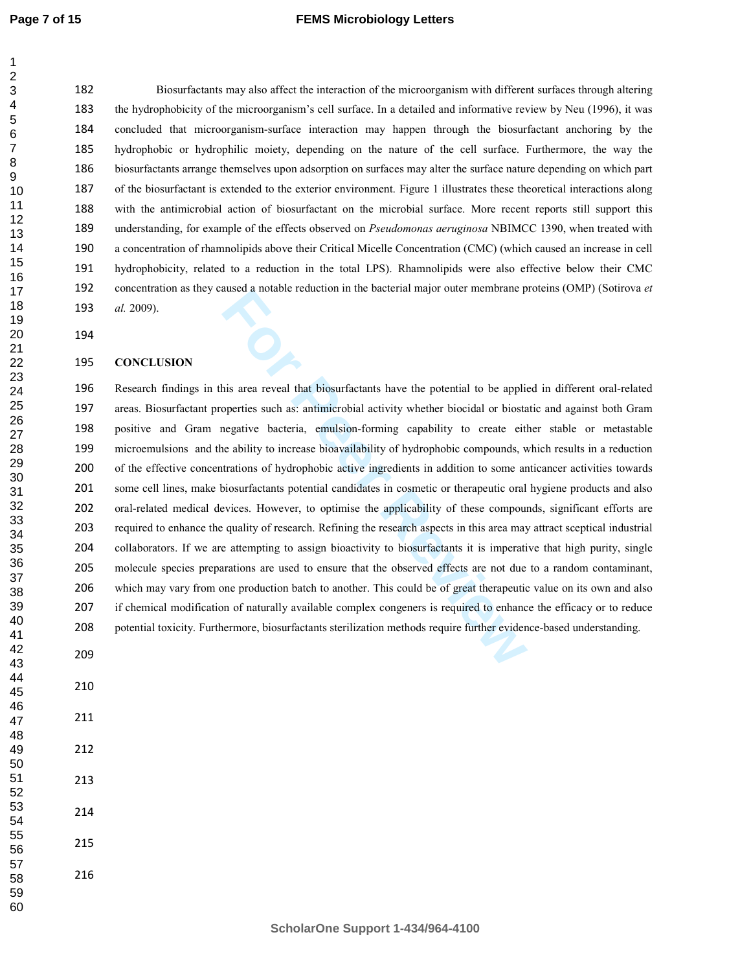#### **FEMS Microbiology Letters**

Biosurfactants may also affect the interaction of the microorganism with different surfaces through altering the hydrophobicity of the microorganism's cell surface. In a detailed and informative review by Neu (1996), it was concluded that microorganism-surface interaction may happen through the biosurfactant anchoring by the hydrophobic or hydrophilic moiety, depending on the nature of the cell surface. Furthermore, the way the biosurfactants arrange themselves upon adsorption on surfaces may alter the surface nature depending on which part of the biosurfactant is extended to the exterior environment. Figure 1 illustrates these theoretical interactions along with the antimicrobial action of biosurfactant on the microbial surface. More recent reports still support this understanding, for example of the effects observed on *Pseudomonas aeruginosa* NBIMCC 1390, when treated with a concentration of rhamnolipids above their Critical Micelle Concentration (CMC) (which caused an increase in cell hydrophobicity, related to a reduction in the total LPS). Rhamnolipids were also effective below their CMC concentration as they caused a notable reduction in the bacterial major outer membrane proteins (OMP) (Sotirova *et al.* 2009).

#### **CONCLUSION**

alised a hotable reduction in the bacterial inajor other inentiotate p<br>his area reveal that biosurfactants have the potential to be applic<br>operties such as: antimicrobial activity whether biocidal or biosta<br>negative bacter Research findings in this area reveal that biosurfactants have the potential to be applied in different oral-related areas. Biosurfactant properties such as: antimicrobial activity whether biocidal or biostatic and against both Gram positive and Gram negative bacteria, emulsion-forming capability to create either stable or metastable microemulsions and the ability to increase bioavailability of hydrophobic compounds, which results in a reduction of the effective concentrations of hydrophobic active ingredients in addition to some anticancer activities towards some cell lines, make biosurfactants potential candidates in cosmetic or therapeutic oral hygiene products and also oral-related medical devices. However, to optimise the applicability of these compounds, significant efforts are required to enhance the quality of research. Refining the research aspects in this area may attract sceptical industrial collaborators. If we are attempting to assign bioactivity to biosurfactants it is imperative that high purity, single molecule species preparations are used to ensure that the observed effects are not due to a random contaminant, which may vary from one production batch to another. This could be of great therapeutic value on its own and also if chemical modification of naturally available complex congeners is required to enhance the efficacy or to reduce potential toxicity. Furthermore, biosurfactants sterilization methods require further evidence-based understanding.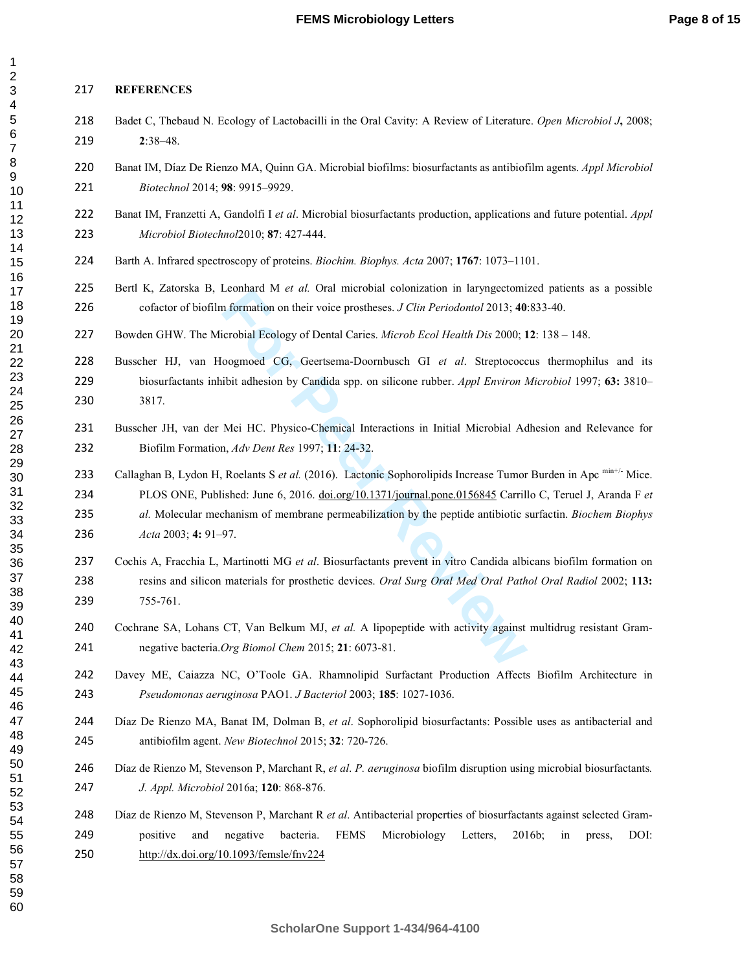#### **REFERENCES**

- Badet C, Thebaud N. Ecology of Lactobacilli in the Oral Cavity: A Review of Literature. *Open Microbiol J***,** 2008; :38–48.
- Banat IM, Díaz De Rienzo MA, Quinn GA. Microbial biofilms: biosurfactants as antibiofilm agents. *Appl Microbiol Biotechnol* 2014; **98**: 9915–9929.
- Banat IM, Franzetti A, Gandolfi I *et al*. Microbial biosurfactants production, applications and future potential. *Appl Microbiol Biotechnol*2010; **87**: 427-444.
	- Barth A. Infrared spectroscopy of proteins. *Biochim. Biophys. Acta* 2007; **1767**: 1073–1101.
	- Bertl K, Zatorska B, Leonhard M *et al.* Oral microbial colonization in laryngectomized patients as a possible cofactor of biofilm formation on their voice prostheses. *J Clin Periodontol* 2013; **40**:833-40.
- Bowden GHW. The Microbial Ecology of Dental Caries. *Microb Ecol Health Dis* 2000; **12**: 138 148.
- Busscher HJ, van Hoogmoed CG, Geertsema-Doornbusch GI *et al*. Streptococcus thermophilus and its biosurfactants inhibit adhesion by Candida spp. on silicone rubber. *Appl Environ Microbiol* 1997; **63:** 3810– 3817.
- Busscher JH, van der Mei HC. Physico-Chemical Interactions in Initial Microbial Adhesion and Relevance for Biofilm Formation, *Adv Dent Res* 1997; **11**: 24-32.
- Economial *M et al.* Oral Inicional Colonization in taryngcetomia<br>
formation on their voice prostheses. *J Clin Periodontol* 2013; 40:<br>
Forbial Ecology of Dental Caries. *Microb Ecol Health Dis* 2000; 1<br>
oogmoed CG, Geerts 233 Callaghan B, Lydon H, Roelants S *et al.* (2016). Lactonic Sophorolipids Increase Tumor Burden in Apc min<sup>+/-</sup> Mice. PLOS ONE, Published: June 6, 2016. doi.org/10.1371/journal.pone.0156845 Carrillo C, Teruel J, Aranda F *et al.* Molecular mechanism of membrane permeabilization by the peptide antibiotic surfactin. *Biochem Biophys Acta* 2003; **4:** 91–97.
- Cochis A, Fracchia L, Martinotti MG *et al*. Biosurfactants prevent in vitro Candida albicans biofilm formation on resins and silicon materials for prosthetic devices. *Oral Surg Oral Med Oral Pathol Oral Radiol* 2002; **113:** 755-761.
- Cochrane SA, Lohans CT, Van Belkum MJ, *et al.* A lipopeptide with activity against multidrug resistant Gram-negative bacteria.*Org Biomol Chem* 2015; **21**: 6073-81.
- Davey ME, Caiazza NC, O'Toole GA. Rhamnolipid Surfactant Production Affects Biofilm Architecture in *Pseudomonas aeruginosa* PAO1. *J Bacteriol* 2003; **185**: 1027-1036.
- Díaz De Rienzo MA, Banat IM, Dolman B, *et al*. Sophorolipid biosurfactants: Possible uses as antibacterial and antibiofilm agent. *New Biotechnol* 2015; **32**: 720-726.
- Dίaz de Rienzo M, Stevenson P, Marchant R, *et al*. *P. aeruginosa* biofilm disruption using microbial biosurfactants*. J. Appl. Microbiol* 2016a; **120**: 868-876.
- Dίaz de Rienzo M, Stevenson P, Marchant R *et al*. Antibacterial properties of biosurfactants against selected Gram-positive and negative bacteria. FEMS Microbiology Letters, 2016b; in press, DOI: http://dx.doi.org/10.1093/femsle/fnv224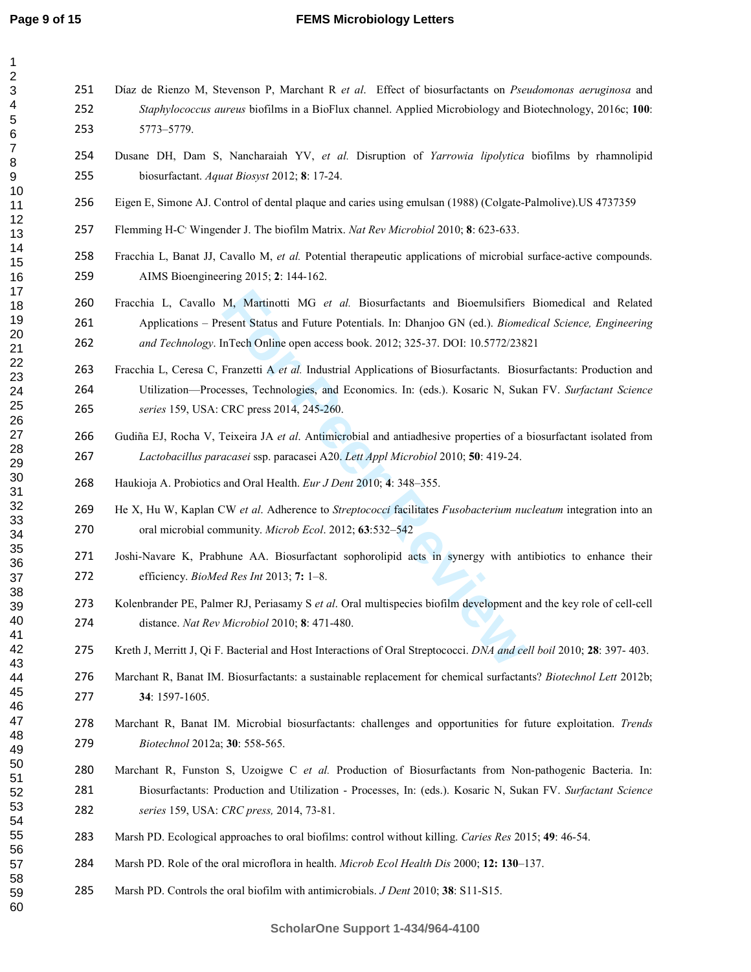#### **Page 9 of 15**

 $\mathbf{1}$  $\overline{2}$ 

#### **FEMS Microbiology Letters**

| $\overline{2}$       |                        |
|----------------------|------------------------|
| 3                    |                        |
| 4                    |                        |
|                      |                        |
| 5<br>6<br>7          |                        |
|                      |                        |
|                      |                        |
| Ş                    |                        |
|                      |                        |
|                      |                        |
|                      | 9 10 11 12 13 14 15 16 |
|                      |                        |
|                      |                        |
|                      |                        |
|                      |                        |
|                      |                        |
|                      |                        |
| $\ddot{\phantom{0}}$ | $\overline{7}$         |
|                      | 18                     |
|                      |                        |
|                      | 19                     |
|                      |                        |
|                      |                        |
|                      |                        |
|                      |                        |
|                      |                        |
|                      |                        |
|                      |                        |
|                      |                        |
|                      |                        |
|                      |                        |
|                      |                        |
|                      |                        |
|                      |                        |
|                      |                        |
|                      |                        |
|                      |                        |
|                      |                        |
|                      |                        |
|                      |                        |
|                      |                        |
|                      |                        |
|                      |                        |
|                      |                        |
|                      |                        |
|                      | 40                     |
| 41                   |                        |
|                      |                        |
| 42                   |                        |
| 43                   | Š                      |
| 44                   |                        |
| 45                   |                        |
| 46                   |                        |
| 47                   |                        |
|                      |                        |
| 48                   |                        |
| 49                   |                        |
| 50                   |                        |
| 51                   |                        |
| 52                   |                        |
| 53                   | 3                      |
|                      |                        |
| 54                   |                        |
| 55                   |                        |
| 56                   | ć                      |
|                      |                        |
| 57<br>58<br>.<br>59  | J                      |

Dίaz de Rienzo M, Stevenson P, Marchant R *et al*. Effect of biosurfactants on *Pseudomonas aeruginosa* and *Staphylococcus aureus* biofilms in a BioFlux channel. Applied Microbiology and Biotechnology, 2016c; **100**: 5773–5779.

- Dusane DH, Dam S, Nancharaiah YV, *et al.* Disruption of *Yarrowia lipolytica* biofilms by rhamnolipid biosurfactant. *Aquat Biosyst* 2012; **8**: 17-24.
- Eigen E, Simone AJ. Control of dental plaque and caries using emulsan (1988) (Colgate-Palmolive).US 4737359
- Flemming H-C , Wingender J. The biofilm Matrix. *Nat Rev Microbiol* 2010; **8**: 623-633.
- Fracchia L, Banat JJ, Cavallo M, *et al.* Potential therapeutic applications of microbial surface-active compounds. AIMS Bioengineering 2015; **2**: 144-162.
	- Fracchia L, Cavallo M, Martinotti MG *et al.* Biosurfactants and Bioemulsifiers Biomedical and Related Applications – Present Status and Future Potentials. In: Dhanjoo GN (ed.). *Biomedical Science, Engineering and Technology*. InTech Online open access book. 2012; 325-37. DOI: 10.5772/23821
- M, Martinotti MG *et al.* Biosurfactants and Bioemulsifiers<br>esent Status and Future Potentials. In: Dhanjoo GN (ed.). *Biomet*<br>in Tech Online open access book. 2012; 325-37. DOI: 10.5772/238.<br>Franzetti A *et al.* Industria Fracchia L, Ceresa C, Franzetti A *et al.* Industrial Applications of Biosurfactants. Biosurfactants: Production and Utilization—Processes, Technologies, and Economics. In: (eds.). Kosaric N, Sukan FV. *Surfactant Science series* 159, USA: CRC press 2014, 245-260.
	- Gudiña EJ, Rocha V, Teixeira JA *et al*. Antimicrobial and antiadhesive properties of a biosurfactant isolated from *Lactobacillus paracasei* ssp. paracasei A20. *Lett Appl Microbiol* 2010; **50**: 419-24.
	- Haukioja A. Probiotics and Oral Health. *Eur J Dent* 2010; **4**: 348–355.
		- He X, Hu W, Kaplan CW *et al*. Adherence to *Streptococci* facilitates *Fusobacterium nucleatum* integration into an oral microbial community. *Microb Ecol*. 2012; **63**:532–542
	- Joshi-Navare K, Prabhune AA. Biosurfactant sophorolipid acts in synergy with antibiotics to enhance their efficiency. *BioMed Res Int* 2013; **7:** 1–8.
	- Kolenbrander PE, Palmer RJ, Periasamy S *et al*. Oral multispecies biofilm development and the key role of cell-cell distance. *Nat Rev Microbiol* 2010; **8**: 471-480.
	- Kreth J, Merritt J, Qi F. Bacterial and Host Interactions of Oral Streptococci. *DNA and cell boil* 2010; **28**: 397- 403.
	- Marchant R, Banat IM. Biosurfactants: a sustainable replacement for chemical surfactants? *Biotechnol Lett* 2012b; **34**: 1597-1605.
	- Marchant R, Banat IM. Microbial biosurfactants: challenges and opportunities for future exploitation. *Trends Biotechnol* 2012a; **30**: 558-565.
	- Marchant R, Funston S, Uzoigwe C *et al.* Production of Biosurfactants from Non-pathogenic Bacteria. In: Biosurfactants: Production and Utilization - Processes, In: (eds.). Kosaric N, Sukan FV. *Surfactant Science series* 159, USA: *CRC press,* 2014, 73-81.
	- Marsh PD. Ecological approaches to oral biofilms: control without killing. *Caries Res* 2015; **49**: 46-54.
- Marsh PD. Role of the oral microflora in health. *Microb Ecol Health Dis* 2000; **12: 130**–137.
- Marsh PD. Controls the oral biofilm with antimicrobials. *J Dent* 2010; **38**: S11-S15.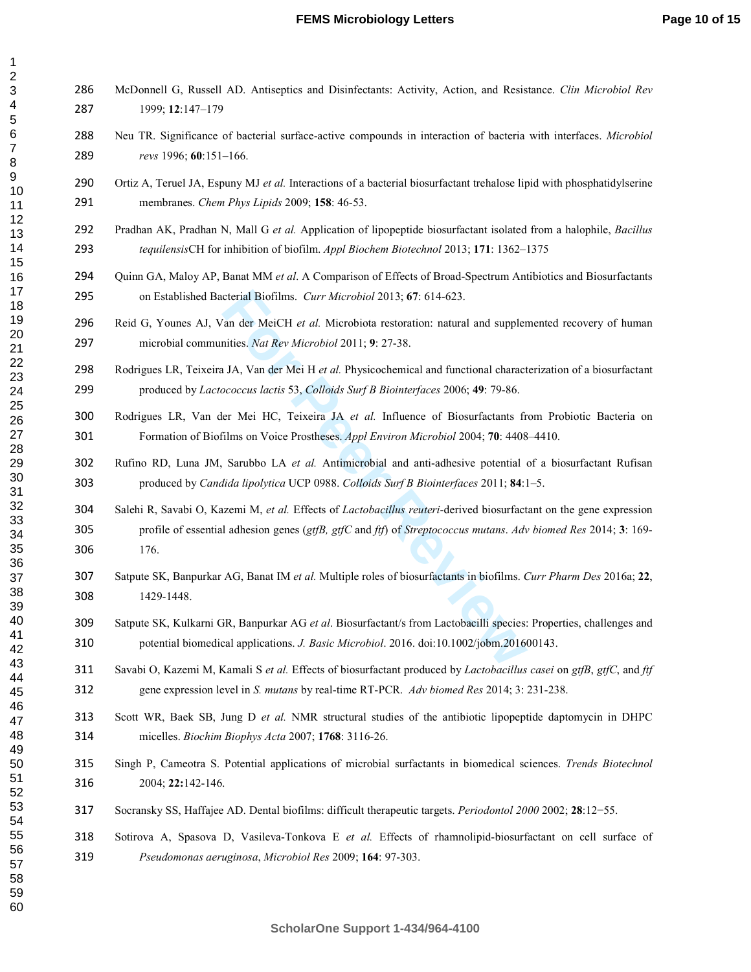| 286 | McDonnell G, Russell AD. Antiseptics and Disinfectants: Activity, Action, and Resistance. Clin Microbiol Rev           |
|-----|------------------------------------------------------------------------------------------------------------------------|
| 287 | 1999; 12:147-179                                                                                                       |
| 288 | Neu TR. Significance of bacterial surface-active compounds in interaction of bacteria with interfaces. Microbiol       |
| 289 | revs 1996; 60:151-166.                                                                                                 |
| 290 | Ortiz A, Teruel JA, Espuny MJ et al. Interactions of a bacterial biosurfactant trehalose lipid with phosphatidylserine |
| 291 | membranes. Chem Phys Lipids 2009; 158: 46-53.                                                                          |
| 292 | Pradhan AK, Pradhan N, Mall G et al. Application of lipopeptide biosurfactant isolated from a halophile, Bacillus      |
| 293 | tequilensisCH for inhibition of biofilm. Appl Biochem Biotechnol 2013; 171: 1362-1375                                  |
| 294 | Quinn GA, Maloy AP, Banat MM et al. A Comparison of Effects of Broad-Spectrum Antibiotics and Biosurfactants           |
| 295 | on Established Bacterial Biofilms. Curr Microbiol 2013; 67: 614-623.                                                   |
| 296 | Reid G, Younes AJ, Van der MeiCH et al. Microbiota restoration: natural and supplemented recovery of human             |
| 297 | microbial communities. Nat Rev Microbiol 2011; 9: 27-38.                                                               |
| 298 | Rodrigues LR, Teixeira JA, Van der Mei H et al. Physicochemical and functional characterization of a biosurfactant     |
| 299 | produced by Lactococcus lactis 53, Colloids Surf B Biointerfaces 2006; 49: 79-86.                                      |
| 300 | Rodrigues LR, Van der Mei HC, Teixeira JA et al. Influence of Biosurfactants from Probiotic Bacteria on                |
| 301 | Formation of Biofilms on Voice Prostheses. Appl Environ Microbiol 2004; 70: 4408-4410.                                 |
| 302 | Rufino RD, Luna JM, Sarubbo LA et al. Antimicrobial and anti-adhesive potential of a biosurfactant Rufisan             |
| 303 | produced by Candida lipolytica UCP 0988. Colloids Surf B Biointerfaces 2011; 84:1-5.                                   |
| 304 | Salehi R, Savabi O, Kazemi M, et al. Effects of Lactobacillus reuteri-derived biosurfactant on the gene expression     |
| 305 | profile of essential adhesion genes (gtfB, gtfC and ftf) of Streptococcus mutans. Adv biomed Res 2014; 3: 169-         |
| 306 | 176.                                                                                                                   |
| 307 | Satpute SK, Banpurkar AG, Banat IM et al. Multiple roles of biosurfactants in biofilms. Curr Pharm Des 2016a; 22,      |
| 308 | 1429-1448.                                                                                                             |
| 309 | Satpute SK, Kulkarni GR, Banpurkar AG et al. Biosurfactant/s from Lactobacilli species: Properties, challenges and     |
| 310 | potential biomedical applications. J. Basic Microbiol. 2016. doi:10.1002/jobm.201600143.                               |
| 311 | Savabi O, Kazemi M, Kamali S et al. Effects of biosurfactant produced by Lactobacillus casei on gtfB, gtfC, and ftf    |
| 312 | gene expression level in S. mutans by real-time RT-PCR. Adv biomed Res 2014; 3: 231-238.                               |
| 313 | Scott WR, Baek SB, Jung D et al. NMR structural studies of the antibiotic lipopeptide daptomycin in DHPC               |
| 314 | micelles. Biochim Biophys Acta 2007; 1768: 3116-26.                                                                    |
| 315 | Singh P, Cameotra S. Potential applications of microbial surfactants in biomedical sciences. Trends Biotechnol         |
| 316 | 2004; 22:142-146.                                                                                                      |
| 317 | Socransky SS, Haffajee AD. Dental biofilms: difficult therapeutic targets. Periodontol 2000 2002; 28:12-55.            |
| 318 | Sotirova A, Spasova D, Vasileva-Tonkova E et al. Effects of rhamnolipid-biosurfactant on cell surface of               |
| 319 | Pseudomonas aeruginosa, Microbiol Res 2009; 164: 97-303.                                                               |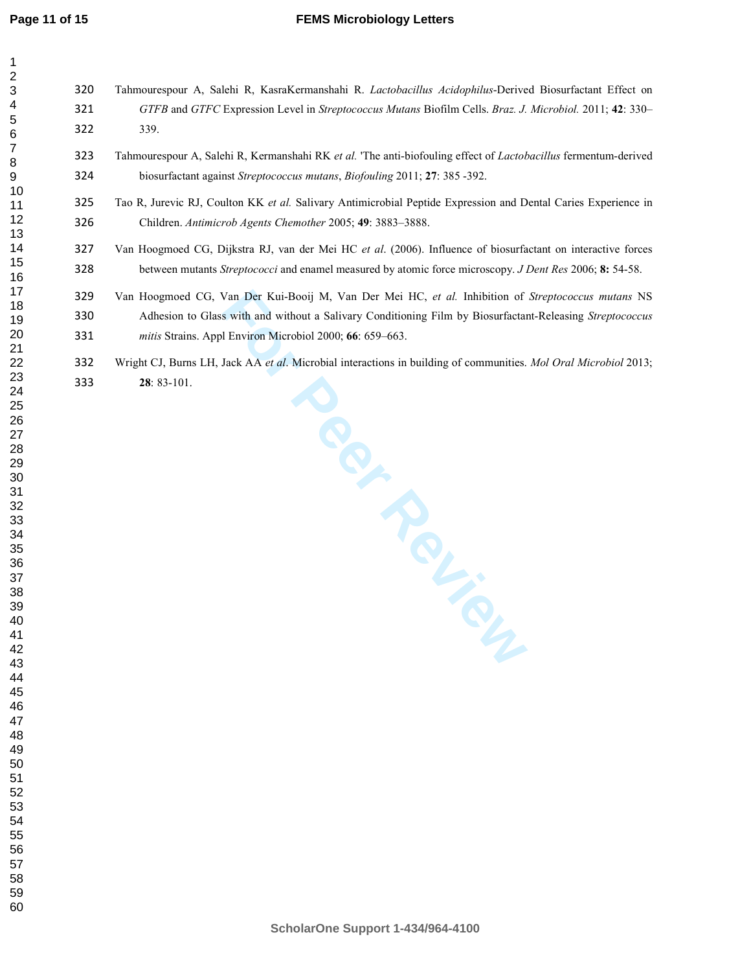$\mathbf{1}$  $\overline{2}$ 

### **FEMS Microbiology Letters**

Tahmourespour A, Salehi R, KasraKermanshahi R. *Lactobacillus Acidophilus*-Derived Biosurfactant Effect on *GTFB* and *GTFC* Expression Level in *Streptococcus Mutans* Biofilm Cells. *Braz. J. Microbiol.* 2011; **42**: 330– 339.

- Tahmourespour A, Salehi R, Kermanshahi RK *et al.* 'The anti-biofouling effect of *Lactobacillus* fermentum-derived biosurfactant against *Streptococcus mutans*, *Biofouling* 2011; **27**: 385 -392.
- Tao R, Jurevic RJ, Coulton KK *et al.* Salivary Antimicrobial Peptide Expression and Dental Caries Experience in Children. *Antimicrob Agents Chemother* 2005; **49**: 3883–3888.
- Van Hoogmoed CG, Dijkstra RJ, van der Mei HC *et al*. (2006). Influence of biosurfactant on interactive forces between mutants *Streptococci* and enamel measured by atomic force microscopy. *J Dent Res* 2006; **8:** 54-58.
- **For Personal interactions.** Van Hoogmoed CG, Van Der Kui-Booij M, Van Der Mei HC, *et al.* Inhibition of *Streptococcus mutans* NS Adhesion to Glass with and without a Salivary Conditioning Film by Biosurfactant-Releasing *Streptococcus mitis* Strains. Appl Environ Microbiol 2000; **66**: 659–663.

# Wright CJ, Burns LH, Jack AA *et al*. Microbial interactions in building of communities. *Mol Oral Microbiol* 2013;

**28**: 83-101.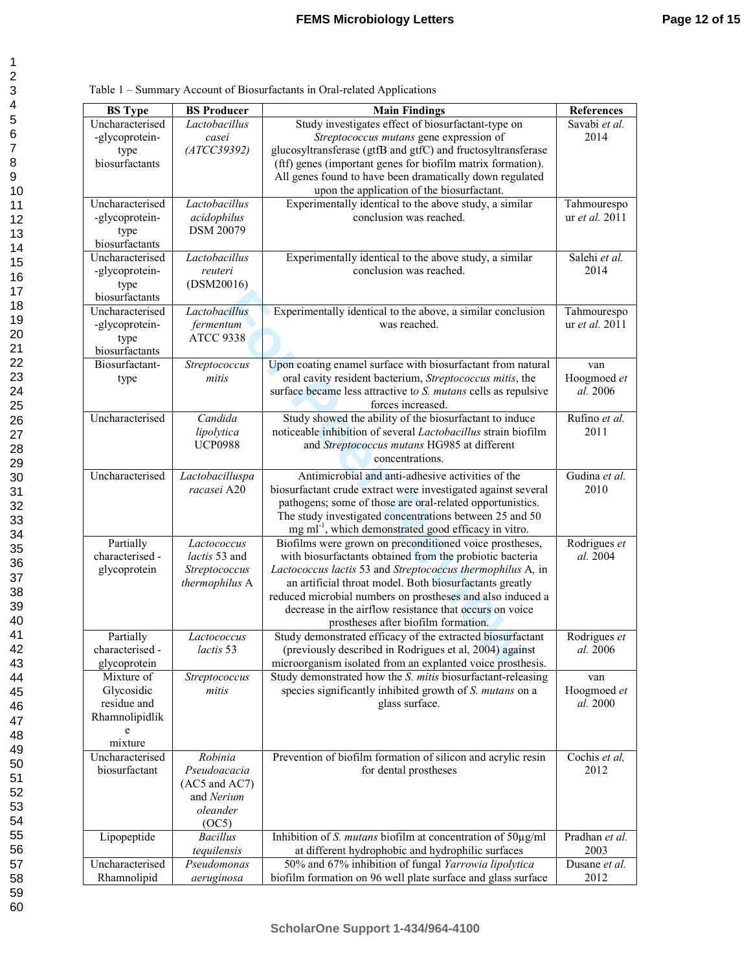Table 1 – Summary Account of Biosurfactants in Oral-related Applications

| <b>BS</b> Type               | <b>BS Producer</b>           | <b>Main Findings</b>                                                                                                | <b>References</b>        |
|------------------------------|------------------------------|---------------------------------------------------------------------------------------------------------------------|--------------------------|
| Uncharacterised              | Lactobacillus                | Study investigates effect of biosurfactant-type on                                                                  | Savabi et al.            |
| -glycoprotein-               | casei                        | Streptococcus mutans gene expression of                                                                             | 2014                     |
| type                         | (ATCC39392)                  | glucosyltransferase (gtfB and gtfC) and fructosyltransferase                                                        |                          |
| biosurfactants               |                              | (ftf) genes (important genes for biofilm matrix formation).                                                         |                          |
|                              |                              | All genes found to have been dramatically down regulated                                                            |                          |
|                              |                              | upon the application of the biosurfactant.                                                                          |                          |
| Uncharacterised              | Lactobacillus                | Experimentally identical to the above study, a similar                                                              | Tahmourespo              |
| -glycoprotein-               | acidophilus                  | conclusion was reached.                                                                                             | ur et al. 2011           |
| type                         | <b>DSM 20079</b>             |                                                                                                                     |                          |
| biosurfactants               |                              |                                                                                                                     |                          |
| Uncharacterised              | Lactobacillus                | Experimentally identical to the above study, a similar                                                              | Salehi et al.<br>2014    |
| -glycoprotein-               | reuteri<br>(DSM20016)        | conclusion was reached.                                                                                             |                          |
| type<br>biosurfactants       |                              |                                                                                                                     |                          |
| Uncharacterised              | Lactobacillus                | Experimentally identical to the above, a similar conclusion                                                         | Tahmourespo              |
| -glycoprotein-               | fermentum                    | was reached.                                                                                                        | ur et al. 2011           |
| type                         | <b>ATCC 9338</b>             |                                                                                                                     |                          |
| biosurfactants               |                              |                                                                                                                     |                          |
| Biosurfactant-               | Streptococcus                | Upon coating enamel surface with biosurfactant from natural                                                         | van                      |
| type                         | mitis                        | oral cavity resident bacterium, Streptococcus mitis, the                                                            | Hoogmoed et              |
|                              |                              | surface became less attractive to S. mutans cells as repulsive                                                      | al. 2006                 |
|                              |                              | forces increased.                                                                                                   |                          |
| Uncharacterised              | Candida                      | Study showed the ability of the biosurfactant to induce                                                             | Rufino et al.            |
|                              | lipolytica                   | noticeable inhibition of several Lactobacillus strain biofilm                                                       | 2011                     |
|                              | <b>UCP0988</b>               | and Streptococcus mutans HG985 at different                                                                         |                          |
|                              |                              | concentrations.                                                                                                     |                          |
| Uncharacterised              | Lactobacilluspa              | Antimicrobial and anti-adhesive activities of the                                                                   | Gudina et al.            |
|                              | racasei A20                  | biosurfactant crude extract were investigated against several                                                       | 2010                     |
|                              |                              | pathogens; some of those are oral-related opportunistics.                                                           |                          |
|                              |                              | The study investigated concentrations between 25 and 50                                                             |                          |
|                              |                              | mg ml <sup>-1</sup> , which demonstrated good efficacy in vitro.                                                    |                          |
| Partially<br>characterised - | Lactococcus<br>lactis 53 and | Biofilms were grown on preconditioned voice prostheses,<br>with biosurfactants obtained from the probiotic bacteria | Rodrigues et<br>al. 2004 |
| glycoprotein                 | Streptococcus                | Lactococcus lactis 53 and Streptococcus thermophilus A, in                                                          |                          |
|                              | thermophilus A               | an artificial throat model. Both biosurfactants greatly                                                             |                          |
|                              |                              | reduced microbial numbers on prostheses and also induced a                                                          |                          |
|                              |                              | decrease in the airflow resistance that occurs on voice                                                             |                          |
|                              |                              | prostheses after biofilm formation.                                                                                 |                          |
| Partially                    | Lactococcus                  | Study demonstrated efficacy of the extracted biosurfactant                                                          | Rodrigues et             |
| characterised -              | lactis 53                    | (previously described in Rodrigues et al, 2004) against                                                             | al. 2006                 |
| glycoprotein                 |                              | microorganism isolated from an explanted voice prosthesis.                                                          |                          |
| Mixture of                   | Streptococcus                | Study demonstrated how the S. mitis biosurfactant-releasing                                                         | van                      |
| Glycosidic                   | mitis                        | species significantly inhibited growth of S. mutans on a                                                            | Hoogmoed et              |
| residue and                  |                              | glass surface.                                                                                                      | al. 2000                 |
| Rhamnolipidlik               |                              |                                                                                                                     |                          |
| e<br>mixture                 |                              |                                                                                                                     |                          |
| Uncharacterised              | Robinia                      | Prevention of biofilm formation of silicon and acrylic resin                                                        | Cochis et al,            |
| biosurfactant                | Pseudoacacia                 | for dental prostheses                                                                                               | 2012                     |
|                              | (AC5 and AC7)                |                                                                                                                     |                          |
|                              | and Nerium                   |                                                                                                                     |                          |
|                              | oleander                     |                                                                                                                     |                          |
|                              | (OC5)                        |                                                                                                                     |                          |
| Lipopeptide                  | <b>Bacillus</b>              | Inhibition of S. mutans biofilm at concentration of $50\mu g/ml$                                                    | Pradhan et al.           |
|                              | tequilensis                  | at different hydrophobic and hydrophilic surfaces                                                                   | 2003                     |
| Uncharacterised              | Pseudomonas                  | 50% and 67% inhibition of fungal Yarrowia lipolytica                                                                | Dusane et al.            |
| Rhamnolipid                  | aeruginosa                   | biofilm formation on 96 well plate surface and glass surface                                                        | 2012                     |

 $\mathbf{1}$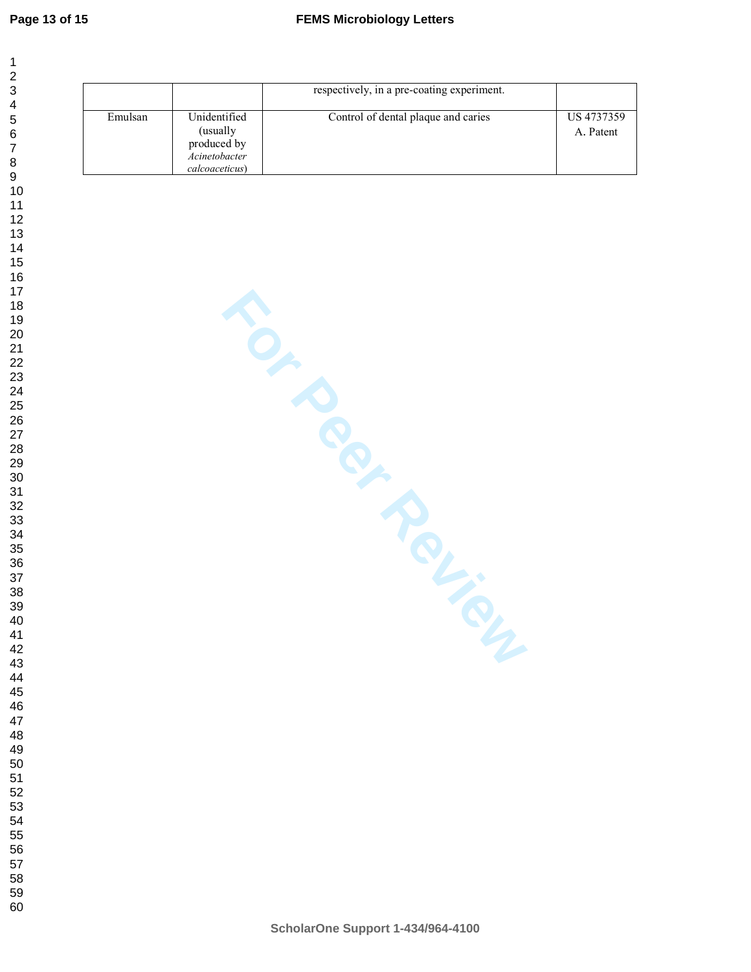$\mathbf{1}$  $\overline{2}$  $\overline{\mathbf{4}}$  $\overline{7}$ 

### **FEMS Microbiology Letters**

|         |                                                                            | respectively, in a pre-coating experiment. |                         |
|---------|----------------------------------------------------------------------------|--------------------------------------------|-------------------------|
| Emulsan | Unidentified<br>(usually<br>produced by<br>Acinetobacter<br>calcoaceticus) | Control of dental plaque and caries        | US 4737359<br>A. Patent |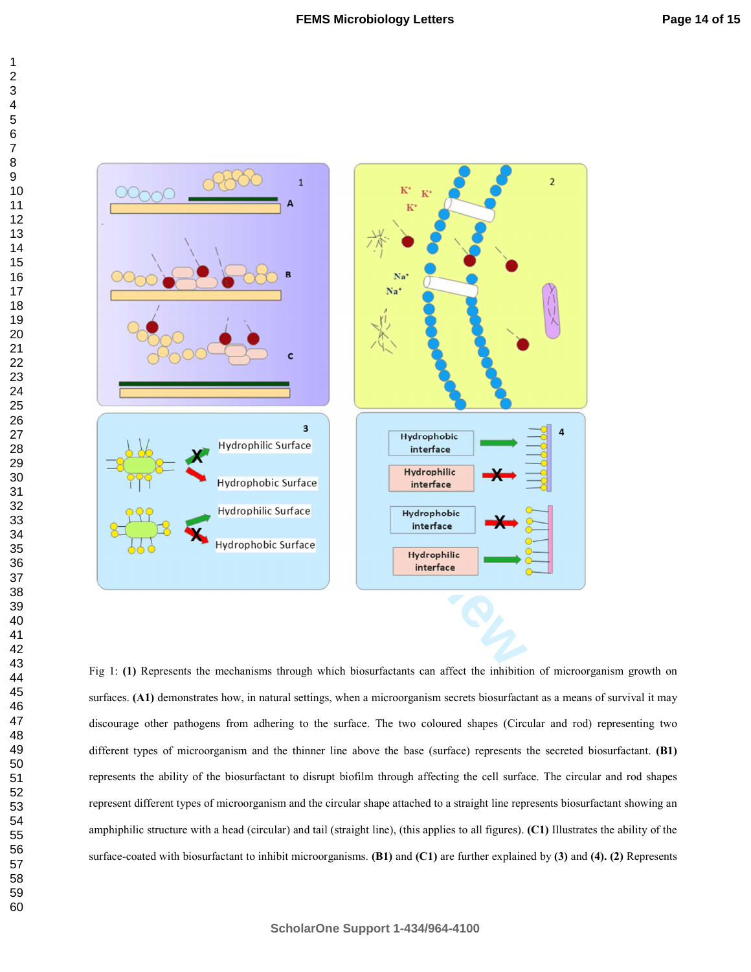

Fig 1: **(1)** Represents the mechanisms through which biosurfactants can affect the inhibition of microorganism growth on surfaces. **(A1)** demonstrates how, in natural settings, when a microorganism secrets biosurfactant as a means of survival it may discourage other pathogens from adhering to the surface. The two coloured shapes (Circular and rod) representing two different types of microorganism and the thinner line above the base (surface) represents the secreted biosurfactant. **(B1)** represents the ability of the biosurfactant to disrupt biofilm through affecting the cell surface. The circular and rod shapes represent different types of microorganism and the circular shape attached to a straight line represents biosurfactant showing an amphiphilic structure with a head (circular) and tail (straight line), (this applies to all figures). **(C1)** Illustrates the ability of the surface-coated with biosurfactant to inhibit microorganisms. **(B1)** and **(C1)** are further explained by **(3)** and **(4). (2)** Represents